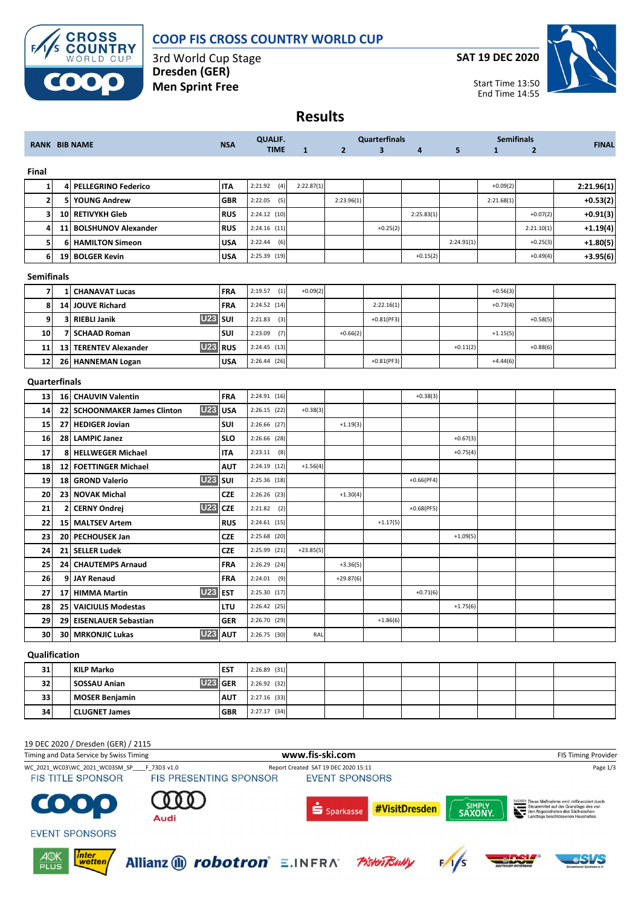

## **COOP FIS CROSS COUNTRY WORLD CUP**

3rd World Cup Stage **Dresden (GER) Men Sprint Free**

**SAT 19 DEC 2020**



**Results**

| <b>RANK BIB NAME</b> |                 | <b>NSA</b>                                     | <b>QUALIF.</b> |                |              | <b>Quarterfinals</b> |              |              | <b>Semifinals</b> |              | <b>FINAL</b>   |            |
|----------------------|-----------------|------------------------------------------------|----------------|----------------|--------------|----------------------|--------------|--------------|-------------------|--------------|----------------|------------|
|                      |                 |                                                |                | <b>TIME</b>    | $\mathbf{1}$ | $\overline{2}$       | 3            | 4            | 5                 | $\mathbf{1}$ | $\overline{2}$ |            |
| Final                |                 |                                                |                |                |              |                      |              |              |                   |              |                |            |
| $\mathbf{1}$         | 4               | <b>PELLEGRINO Federico</b>                     | IΤA            | 2:21.92<br>(4) | 2:22.87(1)   |                      |              |              |                   | $+0.09(2)$   |                | 2:21.96(1) |
| $\overline{2}$       | 5               | <b>YOUNG Andrew</b>                            | GBR            | 2:22.05<br>(5) |              | 2:23.96(1)           |              |              |                   | 2:21.68(1)   |                | $+0.53(2)$ |
| 3                    | 10              | <b>RETIVYKH Gleb</b>                           | RUS            | $2:24.12$ (10) |              |                      |              | 2:25.83(1)   |                   |              | $+0.07(2)$     | +0.91(3)   |
| 4                    | 11              | <b>BOLSHUNOV Alexander</b>                     | RUS            | $2:24.16$ (11) |              |                      | $+0.25(2)$   |              |                   |              | 2:21.10(1)     | +1.19(4)   |
| 5                    | 6               | <b>HAMILTON Simeon</b>                         | USA            | 2:22.44<br>(6) |              |                      |              |              | 2:24.91(1)        |              | $+0.25(3)$     | $+1.80(5)$ |
| 6                    | 19              | <b>BOLGER Kevin</b>                            | USA            | $2:25.39$ (19) |              |                      |              | $+0.15(2)$   |                   |              | $+0.49(4)$     | $+3.95(6)$ |
| <b>Semifinals</b>    |                 |                                                |                |                |              |                      |              |              |                   |              |                |            |
| $\overline{7}$       | 1               | <b>CHANAVAT Lucas</b>                          | FRA            | (1)<br>2:19.57 | $+0.09(2)$   |                      |              |              |                   | $+0.56(3)$   |                |            |
| 8                    | 14              | <b>JOUVE Richard</b>                           | FRA            | 2:24.52 (14)   |              |                      | 2:22.16(1)   |              |                   | $+0.73(4)$   |                |            |
| 9                    | 3               | <b>U23</b><br><b>RIEBLI Janik</b>              | SUI            | 2:21.83<br>(3) |              |                      | $+0.81(PF3)$ |              |                   |              | $+0.58(5)$     |            |
| 10                   | 7               | <b>SCHAAD Roman</b>                            | SUI            | (7)<br>2:23.09 |              | $+0.66(2)$           |              |              |                   | $+1.15(5)$   |                |            |
| 11                   |                 | <b>U23</b><br>13 TERENTEV Alexander            | <b>RUS</b>     | 2:24.45 (13)   |              |                      |              |              | $+0.11(2)$        |              | $+0.88(6)$     |            |
| 12                   |                 | 26 HANNEMAN Logan                              | USA            | 2:26.44(26)    |              |                      | $+0.81(PF3)$ |              |                   | $+4.44(6)$   |                |            |
| Quarterfinals        |                 |                                                |                |                |              |                      |              |              |                   |              |                |            |
| 13                   |                 | 16 CHAUVIN Valentin                            | FRA            | 2:24.91(16)    |              |                      |              | $+0.38(3)$   |                   |              |                |            |
| 14                   | 22              | <b>U23</b><br><b>SCHOONMAKER James Clinton</b> | <b>USA</b>     | $2:26.15$ (22) | $+0.38(3)$   |                      |              |              |                   |              |                |            |
| 15                   |                 | 27 HEDIGER Jovian                              | <b>SUI</b>     | 2:26.66 (27)   |              | $+1.19(3)$           |              |              |                   |              |                |            |
| 16                   | 28              | <b>LAMPIC Janez</b>                            | <b>SLO</b>     | 2:26.66 (28)   |              |                      |              |              | $+0.67(3)$        |              |                |            |
| 17                   | 8               | <b>HELLWEGER Michael</b>                       | IΤA            | $2:23.11$ (8)  |              |                      |              |              | $+0.75(4)$        |              |                |            |
| 18                   | 12 <sub>l</sub> | <b>FOETTINGER Michael</b>                      | ΑUΤ            | 2:24.19 (12)   | $+1.56(4)$   |                      |              |              |                   |              |                |            |
| 19                   | 18              | <b>U23</b><br><b>GROND Valerio</b>             | SUI            | 2:25.36 (18)   |              |                      |              | $+0.66(PF4)$ |                   |              |                |            |
| 20                   | 23 <sub>1</sub> | <b>NOVAK Michal</b>                            | <b>CZE</b>     | $2:26.26$ (23) |              | $+1.30(4)$           |              |              |                   |              |                |            |
| 21                   | 21              | <b>U23</b><br><b>CERNY Ondrej</b>              | <b>CZE</b>     | 2:21.82<br>(2) |              |                      |              | $+0.68(PF5)$ |                   |              |                |            |
| 22                   |                 | 15 MALTSEV Artem                               | <b>RUS</b>     | $2:24.61$ (15) |              |                      | $+1.17(5)$   |              |                   |              |                |            |
| 23                   | 20              | <b>PECHOUSEK Jan</b>                           | CZE            | 2:25.68 (20)   |              |                      |              |              | $+1.09(5)$        |              |                |            |
| 24                   | 21              | <b>SELLER Ludek</b>                            | CZE            | 2:25.99 (21)   | $+23.85(5)$  |                      |              |              |                   |              |                |            |
| 25                   | 24              | <b>CHAUTEMPS Arnaud</b>                        | FRA            | 2:26.29 (24)   |              | $+3.36(5)$           |              |              |                   |              |                |            |
| 26                   | 9               | <b>JAY Renaud</b>                              | FRA            | 2:24.01<br>(9) |              | $+29.87(6)$          |              |              |                   |              |                |            |
| 27                   |                 | <b>U23</b><br>17 HIMMA Martin                  | <b>EST</b>     | 2:25.30 (17)   |              |                      |              | $+0.71(6)$   |                   |              |                |            |
| 28                   |                 | 25 VAICIULIS Modestas                          | LTU            | $2:26.42$ (25) |              |                      |              |              | $+1.75(6)$        |              |                |            |
| 29                   | 29              | <b>EISENLAUER Sebastian</b>                    | <b>GER</b>     | 2:26.70 (29)   |              |                      | $+1.86(6)$   |              |                   |              |                |            |
| 30                   |                 | <b>U23 AUT</b><br><b>30 MRKONJIC Lukas</b>     |                | 2:26.75 (30)   | RAL          |                      |              |              |                   |              |                |            |
| Qualification        |                 |                                                |                |                |              |                      |              |              |                   |              |                |            |
| 31                   |                 | <b>KILP Marko</b>                              | EST            | $2:26.89$ (31) |              |                      |              |              |                   |              |                |            |
| 32                   |                 | <b>U23</b><br>SOSSAU Anian                     | <b>GER</b>     | 2:26.92 (32)   |              |                      |              |              |                   |              |                |            |
| 33                   |                 | <b>MOSER Benjamin</b>                          | AUT            | 2:27.16 (33)   |              |                      |              |              |                   |              |                |            |
| 34                   |                 | <b>CLUGNET James</b>                           | GBR            | 2:27.17 (34)   |              |                      |              |              |                   |              |                |            |

## 19 DEC 2020 / Dresden (GER) / 2115 Timing and Data Service by Swiss Timing **WWW.fis-Ski.com www.fis-ski.com** FIS Timing Provider WC\_2021\_WC03\WC\_2021\_WC03SM\_SP\_\_\_\_F\_73D3 v1.0 Report Created SAT 19 DEC 2020 15:11 Page 1/3 **FIS TITLE SPONSOR EVENT SPONSORS**  $\bullet$ SIMPLY<br>SAXONY. **C** #VisitDresden Sparkasse nouann<br>en Aho Audi **EVENT SPONSORS**  $\frac{\cancel{A} \odot K}{\text{PLUS}}$ | inter<br>| wetten Allianz (iii) *robotron*° ≡.INFRA° PistenBully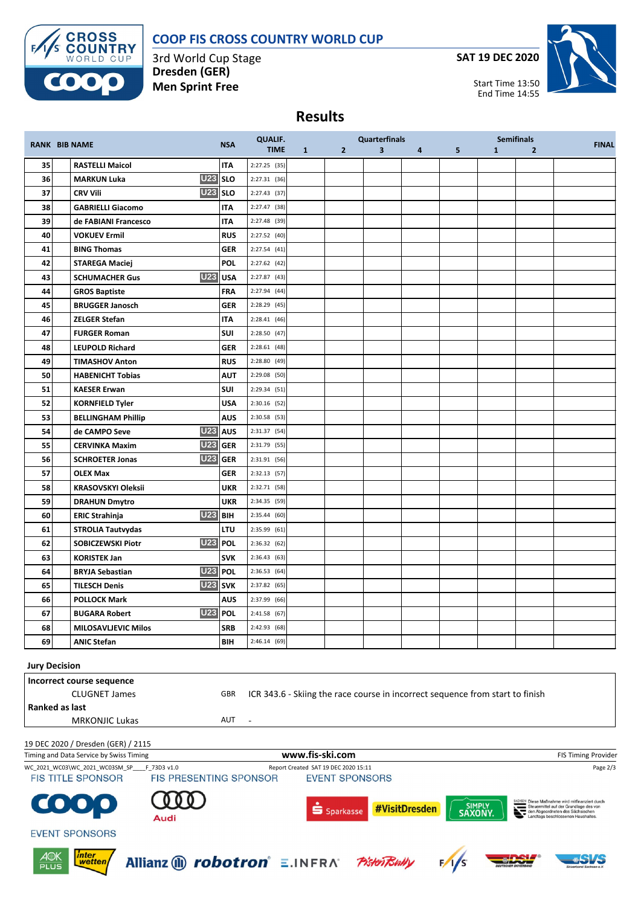



3rd World Cup Stage **Dresden (GER) Men Sprint Free**

**SAT 19 DEC 2020**



**Results**

|                                                                                                              |  | <b>RANK BIB NAME</b>                          | <b>NSA</b>          | <b>QUALIF.</b><br><b>TIME</b> | $\mathbf{1}$    | $\mathbf{2}$ | <b>Quarterfinals</b><br>$\overline{\mathbf{3}}$ | $4 \quad \blacksquare$ | 5 | <b>Semifinals</b><br>1 | $\overline{2}$ | <b>FINAL</b>        |
|--------------------------------------------------------------------------------------------------------------|--|-----------------------------------------------|---------------------|-------------------------------|-----------------|--------------|-------------------------------------------------|------------------------|---|------------------------|----------------|---------------------|
| 35                                                                                                           |  | <b>RASTELLI Maicol</b>                        | <b>ITA</b>          | $2:27.25$ (35)                |                 |              |                                                 |                        |   |                        |                |                     |
| 36                                                                                                           |  | <b>MARKUN Luka</b>                            | <b>U23</b> SLO      | 2:27.31 (36)                  |                 |              |                                                 |                        |   |                        |                |                     |
| 37                                                                                                           |  | <b>U23</b><br><b>CRV Vili</b>                 | <b>SLO</b>          | 2:27.43 (37)                  |                 |              |                                                 |                        |   |                        |                |                     |
| 38                                                                                                           |  | <b>GABRIELLI Giacomo</b>                      | <b>ITA</b>          | 2:27.47 (38)                  |                 |              |                                                 |                        |   |                        |                |                     |
| 39                                                                                                           |  | de FABIANI Francesco                          | <b>ITA</b>          | 2:27.48 (39)                  |                 |              |                                                 |                        |   |                        |                |                     |
| 40                                                                                                           |  | <b>VOKUEV Ermil</b>                           | <b>RUS</b>          | 2:27.52 (40)                  |                 |              |                                                 |                        |   |                        |                |                     |
| 41                                                                                                           |  | <b>BING Thomas</b>                            | <b>GER</b>          | 2:27.54(41)                   |                 |              |                                                 |                        |   |                        |                |                     |
| 42                                                                                                           |  | <b>STAREGA Maciej</b>                         | <b>POL</b>          | 2:27.62 (42)                  |                 |              |                                                 |                        |   |                        |                |                     |
| 43                                                                                                           |  | <b>U23</b><br><b>SCHUMACHER Gus</b>           | <b>USA</b>          | 2:27.87 (43)                  |                 |              |                                                 |                        |   |                        |                |                     |
| 44                                                                                                           |  | <b>GROS Baptiste</b>                          | <b>FRA</b>          | 2:27.94 (44)                  |                 |              |                                                 |                        |   |                        |                |                     |
| 45                                                                                                           |  | <b>BRUGGER Janosch</b>                        | <b>GER</b>          | 2:28.29 (45)                  |                 |              |                                                 |                        |   |                        |                |                     |
| 46                                                                                                           |  | <b>ZELGER Stefan</b>                          | <b>ITA</b>          | 2:28.41 (46)                  |                 |              |                                                 |                        |   |                        |                |                     |
| 47                                                                                                           |  | <b>FURGER Roman</b>                           | <b>SUI</b>          | 2:28.50 (47)                  |                 |              |                                                 |                        |   |                        |                |                     |
| 48                                                                                                           |  | <b>LEUPOLD Richard</b>                        | <b>GER</b>          | $2:28.61$ (48)                |                 |              |                                                 |                        |   |                        |                |                     |
| 49                                                                                                           |  | <b>TIMASHOV Anton</b>                         | <b>RUS</b>          | 2:28.80 (49)                  |                 |              |                                                 |                        |   |                        |                |                     |
| 50                                                                                                           |  | <b>HABENICHT Tobias</b>                       | <b>AUT</b>          | 2:29.08 (50)                  |                 |              |                                                 |                        |   |                        |                |                     |
| 51                                                                                                           |  | <b>KAESER Erwan</b>                           | SUI                 | 2:29.34 (51)                  |                 |              |                                                 |                        |   |                        |                |                     |
| 52                                                                                                           |  | <b>KORNFIELD Tyler</b>                        | <b>USA</b>          | $2:30.16$ (52)                |                 |              |                                                 |                        |   |                        |                |                     |
| 53                                                                                                           |  | <b>BELLINGHAM Phillip</b>                     | <b>AUS</b>          | $2:30.58$ (53)                |                 |              |                                                 |                        |   |                        |                |                     |
| 54                                                                                                           |  | <b>U23</b><br>de CAMPO Seve                   | <b>AUS</b>          | 2:31.37 (54)                  |                 |              |                                                 |                        |   |                        |                |                     |
| 55                                                                                                           |  | <b>U23</b><br><b>CERVINKA Maxim</b>           | <b>GER</b>          | 2:31.79 (55)                  |                 |              |                                                 |                        |   |                        |                |                     |
| 56                                                                                                           |  | <b>U23</b><br><b>SCHROETER Jonas</b>          | <b>GER</b>          | 2:31.91 (56)                  |                 |              |                                                 |                        |   |                        |                |                     |
| 57                                                                                                           |  | <b>OLEX Max</b>                               | <b>GER</b>          | $2:32.13$ (57)                |                 |              |                                                 |                        |   |                        |                |                     |
| 58                                                                                                           |  | <b>KRASOVSKYI Oleksii</b>                     | <b>UKR</b>          | 2:32.71 (58)                  |                 |              |                                                 |                        |   |                        |                |                     |
| 59                                                                                                           |  | <b>DRAHUN Dmytro</b>                          | <b>UKR</b>          | 2:34.35 (59)                  |                 |              |                                                 |                        |   |                        |                |                     |
| 60                                                                                                           |  | <b>U23</b><br><b>ERIC Strahinja</b>           | <b>BIH</b>          | 2:35.44(60)                   |                 |              |                                                 |                        |   |                        |                |                     |
| 61                                                                                                           |  | <b>STROLIA Tautvydas</b>                      | LTU                 | 2:35.99 (61)                  |                 |              |                                                 |                        |   |                        |                |                     |
| 62                                                                                                           |  | <b>SOBICZEWSKI Piotr</b>                      | U <sub>23</sub> POL | 2:36.32(62)                   |                 |              |                                                 |                        |   |                        |                |                     |
| 63                                                                                                           |  | <b>KORISTEK Jan</b>                           | <b>SVK</b>          | 2:36.43(63)                   |                 |              |                                                 |                        |   |                        |                |                     |
| 64                                                                                                           |  | <b>BRYJA Sebastian</b>                        | <b>U23 POL</b>      | 2:36.53(64)                   |                 |              |                                                 |                        |   |                        |                |                     |
| 65                                                                                                           |  | <b>TILESCH Denis</b>                          | U23 SVK             | 2:37.82 (65)                  |                 |              |                                                 |                        |   |                        |                |                     |
| 66                                                                                                           |  | <b>POLLOCK Mark</b>                           | <b>AUS</b>          | 2:37.99 (66)                  |                 |              |                                                 |                        |   |                        |                |                     |
| 67                                                                                                           |  | <b>BUGARA Robert</b>                          | U23 POL             | 2:41.58 (67)                  |                 |              |                                                 |                        |   |                        |                |                     |
| 68                                                                                                           |  | <b>MILOSAVLJEVIC Milos</b>                    | <b>SRB</b>          | 2:42.93 (68)                  |                 |              |                                                 |                        |   |                        |                |                     |
| 69                                                                                                           |  | <b>ANIC Stefan</b>                            | BIH                 | 2:46.14 (69)                  |                 |              |                                                 |                        |   |                        |                |                     |
| <b>Jury Decision</b>                                                                                         |  |                                               |                     |                               |                 |              |                                                 |                        |   |                        |                |                     |
|                                                                                                              |  | Incorrect course sequence                     |                     |                               |                 |              |                                                 |                        |   |                        |                |                     |
| GBR<br>ICR 343.6 - Skiing the race course in incorrect sequence from start to finish<br><b>CLUGNET James</b> |  |                                               |                     |                               |                 |              |                                                 |                        |   |                        |                |                     |
| Ranked as last                                                                                               |  |                                               |                     |                               |                 |              |                                                 |                        |   |                        |                |                     |
| <b>MRKONJIC Lukas</b><br>AUT<br>$\blacksquare$                                                               |  |                                               |                     |                               |                 |              |                                                 |                        |   |                        |                |                     |
| 19 DEC 2020 / Dresden (GER) / 2115                                                                           |  |                                               |                     |                               |                 |              |                                                 |                        |   |                        |                |                     |
|                                                                                                              |  | Timing and Data Service by Swiss Timing       |                     |                               | www.fis-ski.com |              |                                                 |                        |   |                        |                | FIS Timing Provider |
|                                                                                                              |  | WC_2021_WC03\WC_2021_WC03SM_SP____F_73D3 v1.0 |                     |                               |                 |              |                                                 |                        |   |                        |                | Page 2/3            |
| Report Created SAT 19 DEC 2020 15:11<br>FIS TITLE SPONSOR<br>FIS PRESENTING SPONSOR<br><b>EVENT SPONSORS</b> |  |                                               |                     |                               |                 |              |                                                 |                        |   |                        |                |                     |



 $\bullet$ 

FIS PRESENTING SPONSOR



#VisitDresden  $\dot{\mathbf{S}}$  Sparkasse





**EVENT SPONSORS**